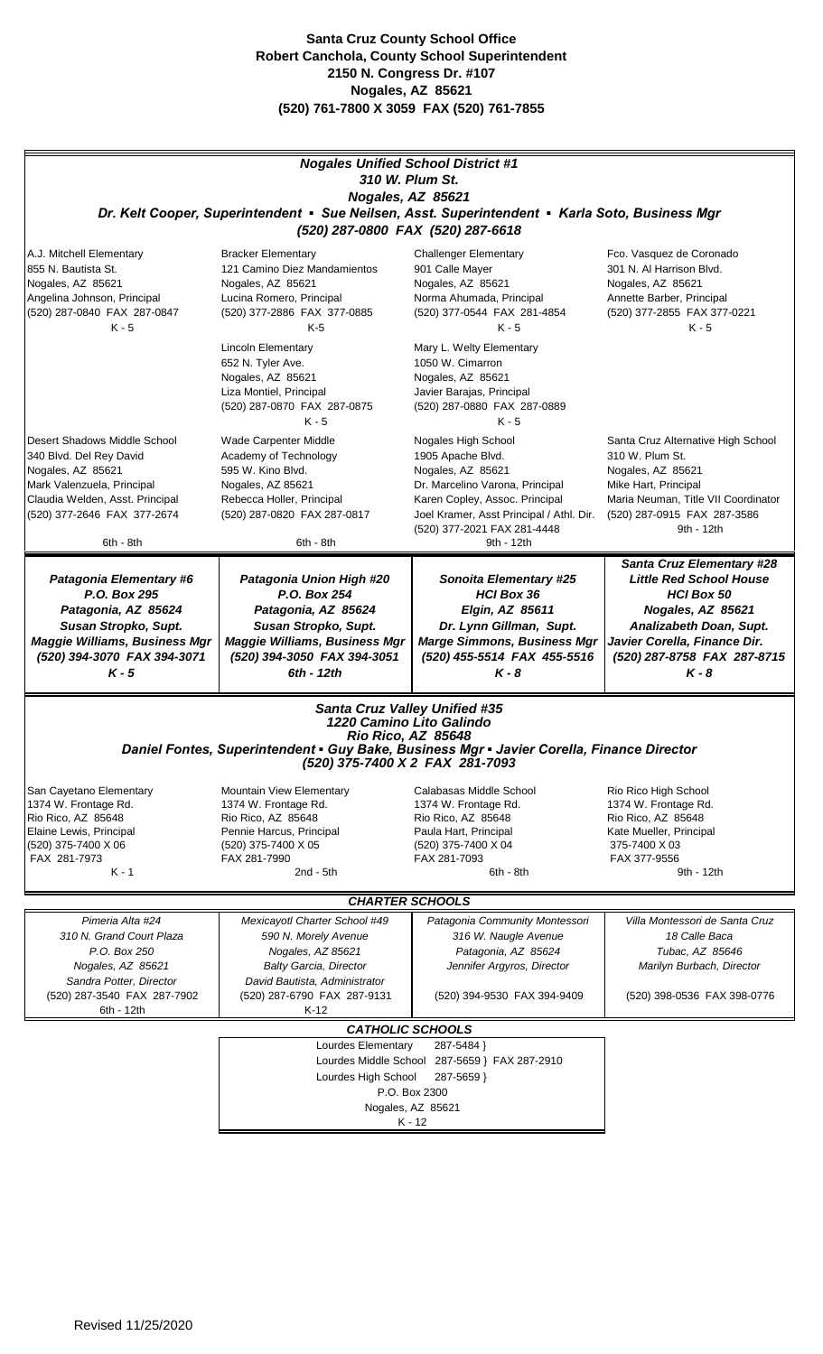|                                                                                                                                                                                                                        |                                                                                                                                                                                                                                                                                     | <b>Nogales Unified School District #1</b><br>310 W. Plum St.                                                                                                                                                                                                                |                                                                                                                                                                                                                   |
|------------------------------------------------------------------------------------------------------------------------------------------------------------------------------------------------------------------------|-------------------------------------------------------------------------------------------------------------------------------------------------------------------------------------------------------------------------------------------------------------------------------------|-----------------------------------------------------------------------------------------------------------------------------------------------------------------------------------------------------------------------------------------------------------------------------|-------------------------------------------------------------------------------------------------------------------------------------------------------------------------------------------------------------------|
| Nogales, AZ 85621<br>Dr. Kelt Cooper, Superintendent • Sue Neilsen, Asst. Superintendent • Karla Soto, Business Mgr<br>(520) 287-0800 FAX (520) 287-6618                                                               |                                                                                                                                                                                                                                                                                     |                                                                                                                                                                                                                                                                             |                                                                                                                                                                                                                   |
| A.J. Mitchell Elementary<br>855 N. Bautista St.<br>Nogales, AZ 85621<br>Angelina Johnson, Principal<br>(520) 287-0840 FAX 287-0847<br>$K - 5$                                                                          | <b>Bracker Elementary</b><br>121 Camino Diez Mandamientos<br>Nogales, AZ 85621<br>Lucina Romero, Principal<br>(520) 377-2886 FAX 377-0885<br>$K-5$<br><b>Lincoln Elementary</b><br>652 N. Tyler Ave.<br>Nogales, AZ 85621<br>Liza Montiel, Principal<br>(520) 287-0870 FAX 287-0875 | <b>Challenger Elementary</b><br>901 Calle Mayer<br>Nogales, AZ 85621<br>Norma Ahumada, Principal<br>(520) 377-0544 FAX 281-4854<br>$K - 5$<br>Mary L. Welty Elementary<br>1050 W. Cimarron<br>Nogales, AZ 85621<br>Javier Barajas, Principal<br>(520) 287-0880 FAX 287-0889 | Fco. Vasquez de Coronado<br>301 N. Al Harrison Blvd.<br>Nogales, AZ 85621<br>Annette Barber, Principal<br>(520) 377-2855 FAX 377-0221<br>$K - 5$                                                                  |
| Desert Shadows Middle School<br>340 Blvd. Del Rey David<br>Nogales, AZ 85621<br>Mark Valenzuela, Principal<br>Claudia Welden, Asst. Principal<br>(520) 377-2646 FAX 377-2674<br>6th - 8th                              | $K - 5$<br>Wade Carpenter Middle<br>Academy of Technology<br>595 W. Kino Blvd.<br>Nogales, AZ 85621<br>Rebecca Holler, Principal<br>(520) 287-0820 FAX 287-0817<br>6th - 8th                                                                                                        | $K - 5$<br>Nogales High School<br>1905 Apache Blvd.<br>Nogales, AZ 85621<br>Dr. Marcelino Varona, Principal<br>Karen Copley, Assoc. Principal<br>Joel Kramer, Asst Principal / Athl. Dir.<br>(520) 377-2021 FAX 281-4448<br>9th - 12th                                      | Santa Cruz Alternative High School<br>310 W. Plum St.<br>Nogales, AZ 85621<br>Mike Hart, Principal<br>Maria Neuman, Title VII Coordinator<br>(520) 287-0915 FAX 287-3586<br>9th - 12th                            |
| <b>Patagonia Elementary #6</b><br>P.O. Box 295<br>Patagonia, AZ 85624<br>Susan Stropko, Supt.<br><b>Maggie Williams, Business Mgr</b><br>(520) 394-3070 FAX 394-3071<br>$K - 5$                                        | Patagonia Union High #20<br>P.O. Box 254<br>Patagonia, AZ 85624<br>Susan Stropko, Supt.<br><b>Maggie Williams, Business Mgr</b><br>(520) 394-3050 FAX 394-3051<br>$6th - 12th$                                                                                                      | <b>Sonoita Elementary #25</b><br>HCI Box 36<br>Elgin, AZ 85611<br>Dr. Lynn Gillman, Supt.<br><b>Marge Simmons, Business Mgr</b><br>(520) 455-5514 FAX 455-5516<br>$K - 8$                                                                                                   | <b>Santa Cruz Elementary #28</b><br><b>Little Red School House</b><br><b>HCI Box 50</b><br>Nogales, AZ 85621<br>Analizabeth Doan, Supt.<br>Javier Corella, Finance Dir.<br>(520) 287-8758 FAX 287-8715<br>$K - 8$ |
| <b>Santa Cruz Valley Unified #35</b><br>1220 Camino Lito Galindo<br>Rio Rico, AZ 85648<br>Daniel Fontes, Superintendent • Guy Bake, Business Mgr • Javier Corella, Finance Director<br>(520) 375-7400 X 2 FAX 281-7093 |                                                                                                                                                                                                                                                                                     |                                                                                                                                                                                                                                                                             |                                                                                                                                                                                                                   |
| San Cayetano Elementary<br>1374 W. Frontage Rd.<br>Rio Rico, AZ 85648<br>Elaine Lewis, Principal<br>(520) 375-7400 X 06<br>FAX 281-7973<br>$K - 1$                                                                     | <b>Mountain View Elementary</b><br>1374 W. Frontage Rd.<br>Rio Rico, AZ 85648<br>Pennie Harcus, Principal<br>(520) 375-7400 X 05<br>FAX 281-7990<br>$2nd - 5th$                                                                                                                     | Calabasas Middle School<br>1374 W. Frontage Rd.<br>Rio Rico, AZ 85648<br>Paula Hart, Principal<br>(520) 375-7400 X 04<br>FAX 281-7093<br>$6th - 8th$                                                                                                                        | Rio Rico High School<br>1374 W. Frontage Rd.<br>Rio Rico, AZ 85648<br>Kate Mueller, Principal<br>375-7400 X 03<br>FAX 377-9556<br>9th - 12th                                                                      |
| <b>CHARTER SCHOOLS</b>                                                                                                                                                                                                 |                                                                                                                                                                                                                                                                                     |                                                                                                                                                                                                                                                                             |                                                                                                                                                                                                                   |
| Pimeria Alta #24<br>310 N. Grand Court Plaza<br>P.O. Box 250<br>Nogales, AZ 85621<br>Sandra Potter, Director<br>(520) 287-3540 FAX 287-7902<br>6th - 12th                                                              | Mexicayotl Charter School #49<br>590 N. Morely Avenue<br>Nogales, AZ 85621<br><b>Balty Garcia, Director</b><br>David Bautista, Administrator<br>(520) 287-6790 FAX 287-9131<br>$K-12$                                                                                               | Patagonia Community Montessori<br>316 W. Naugle Avenue<br>Patagonia, AZ 85624<br>Jennifer Argyros, Director<br>(520) 394-9530 FAX 394-9409                                                                                                                                  | Villa Montessori de Santa Cruz<br>18 Calle Baca<br>Tubac, AZ 85646<br>Marilyn Burbach, Director<br>(520) 398-0536 FAX 398-0776                                                                                    |
|                                                                                                                                                                                                                        |                                                                                                                                                                                                                                                                                     | <b>CATHOLIC SCHOOLS</b>                                                                                                                                                                                                                                                     |                                                                                                                                                                                                                   |
|                                                                                                                                                                                                                        | Lourdes Elementary<br>287-5484 }<br>Lourdes Middle School 287-5659 } FAX 287-2910<br>Lourdes High School<br>287-5659 }<br>P.O. Box 2300<br>Nogales, AZ 85621<br>K - 12                                                                                                              |                                                                                                                                                                                                                                                                             |                                                                                                                                                                                                                   |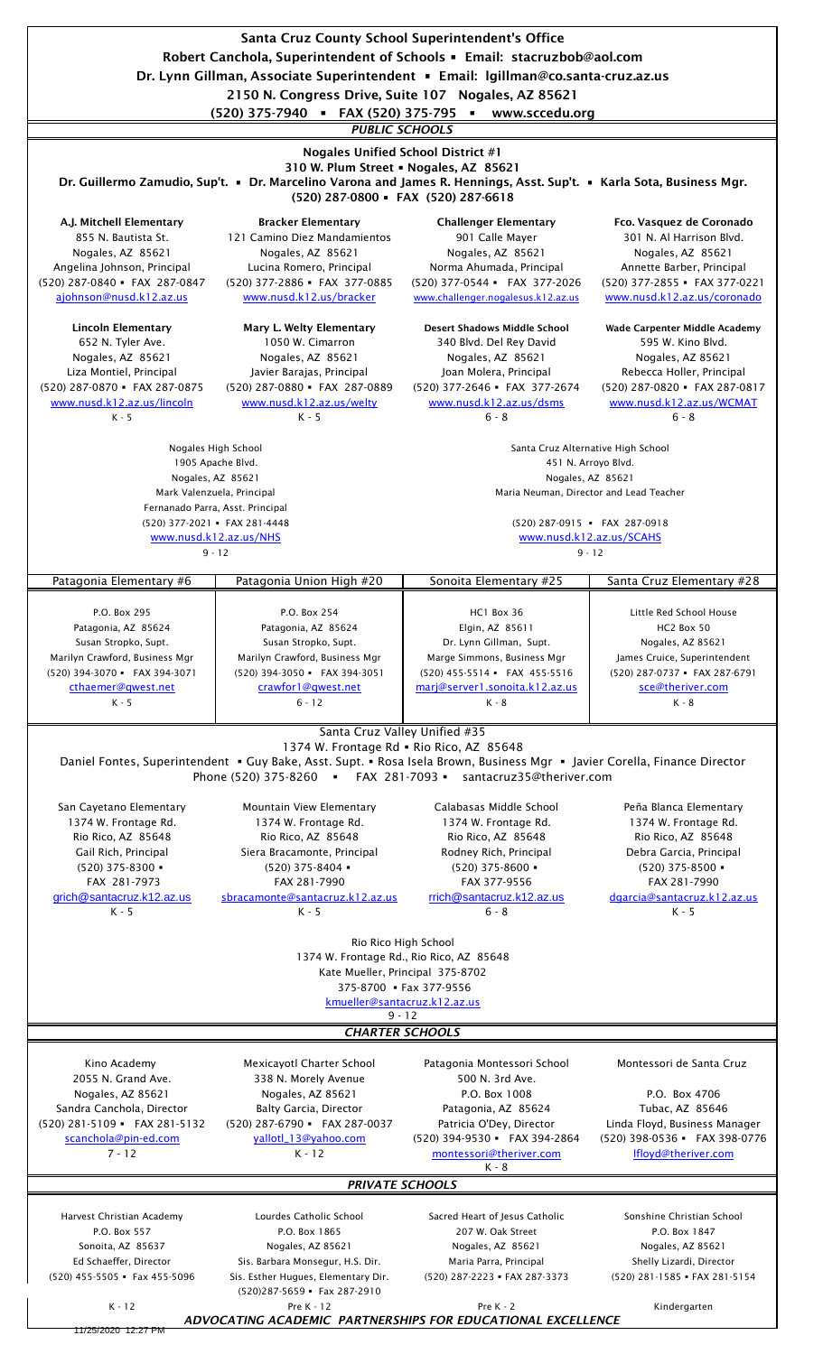Santa Cruz County School Superintendent's Office Robert Canchola, Superintendent of Schools ▪ Email: stacruzbob@aol.com Dr. Lynn Gillman, Associate Superintendent ▪ Email: lgillman@co.santa-cruz.az.us

A.J. Mitchell Elementary Bracker Elementary Challenger Elementary Fco. Vasquez de Coronado 855 N. Bautista St. 121 Camino Diez Mandamientos 1901 Calle Mayer 1901 N. Al Harrison Blvd. Nogales, AZ 85621 Nogales, AZ 85621 Nogales, AZ 85621 Nogales, AZ 85621 Angelina Johnson, Principal Lucina Romero, Principal Norma Ahumada, Principal Annette Barber, Principal (520) 287-0840 ▪ FAX 287-0847 (520) 377-2886 ▪ FAX 377-0885 (520) 377-0544 ▪ FAX 377-2026 (520) 377-2855 ▪ FAX 377-0221 [ajohnson@nusd.k12.az.us](mailto:ajohnson@nusd.k12.az.us) [www.nusd.k12.us/bracker](http://www.nusd.k12.us/bracker) [www.challenger.nogalesus.k12.az.us](http://www.nusd.k12.az.us/lincoln) [www.nusd.k12.az.us/coronado](http://www.nusd.k12.az.us/coronado) Lincoln Elementary Mary L. Welty Elementary Desert Shadows Middle School Wade Carpenter Middle Academy 652 N. Tyler Ave. 1050 W. Cimarron 340 Blvd. Del Rey David 595 W. Kino Blvd. Nogales, AZ 85621 Nogales, AZ 85621 Nogales, AZ 85621 Nogales, AZ 85621 Liza Montiel, Principal Javier Barajas, Principal Joan Molera, Principal Rebecca Holler, Principal (520) 287-0870 ▪ FAX 287-0875 (520) 287-0880 ▪ FAX 287-0889 (520) 377-2646 ▪ FAX 377-2674 (520) 287-0820 ▪ FAX 287-0817 [www.nusd.k12.az.us/lincoln](http://www.nusd.k12.az.us/lincoln) [www.nusd.k12.az.us/welty](http://www.nusd.k12.az.us/welty) [www.nusd.k12.az.us/dsms](http://www.nusd.k12.az.us/dsms) [www.nusd.k12.az.us/WCMAT](http://www.nusd.k12.az.us/WCMAT) K - 5  $K$  - 5  $K$  - 5  $6 - 8$   $6 - 8$   $6 - 8$ Patagonia Elementary #6 | Patagonia Union High #20 | Sonoita Elementary #25 | Santa Cruz Elementary #28 P.O. Box 295 P.O. Box 254 HCl Box 36 Little Red School House Patagonia, AZ 85624 Patagonia, AZ 85624 Patagonia, AZ 85611 HC2 Box 50 Susan Stropko, Supt. Susan Stropko, Supt. Susan Stropko, Supt. Nogales, AZ 85621 Marilyn Crawford, Business Mgr Marilyn Crawford, Business Mgr Marge Simmons, Business Mgr James Cruice, Superintendent (520) 394-3070 ▪ FAX 394-3071 (520) 394-3050 ▪ FAX 394-3051 (520) 455-5514 ▪ FAX 455-5516 (520) 287-0737 ▪ FAX 287-6791 [cthaemer@qwest.net](mailto:sce@theriver.com) [crawfor1@qwest.net](http://www.nusd.k12.az.us/WCMAT) [marj@server1.sonoita.k12.az.us](mailto:montessori@theriver.com) [sce@theriver.com](http://www.nusd.k12.az.us/NHS) K - 5 6 - 12 K - 8 K - 8 San Cayetano Elementary Mountain View Elementary Calabasas Middle School Peña Blanca Elementary 1374 W. Frontage Rd. 1374 W. Frontage Rd. 1374 W. Frontage Rd. 1374 W. Frontage Rd. Rio Rico, AZ 85648 Rio Rico, AZ 85648 Rio Rico, AZ 85648 Rio Rico, AZ 85648 Gail Rich, Principal Siera Bracamonte, Principal Rodney Rich, Principal Debra Garcia, Principal (520) 375-8300 ▪ (520) 375-8404 ▪ (520) 375-8600 ▪ (520) 375-8500 ▪ FAX 281-7973 FAX 281-7990 FAX 377-9556 FAX 281-7990 [grich@santacruz.k12.az.us](mailto:grich@santacruz.k12.az.us) [sbracamonte@santacruz.k12.az.us](mailto:sbracamonte@santacruz.k12.az.us) [rrich@santacruz.k12.az.us](mailto:rrich@santacruz.k12.az.us) [dgarcia@santacruz.k12.az.us](mailto:dgarcia@santacruz.k12.az.us) K - 5 K - 5 6 - 8 K - 5 Kino Academy Mexicayotl Charter School Patagonia Montessori School Montessori de Santa Cruz 2055 N. Grand Ave. 338 N. Morely Avenue 500 N. 3rd Ave. Nogales, AZ 85621 Nogales, AZ 85621 P.O. Box 1008 P.O. Box 4706 Sandra Canchola, Director Balty Garcia, Director Patagonia, AZ 85624 Tubac, AZ 85646 (520) 281-5109 ▪ FAX 281-5132 (520) 287-6790 ▪ FAX 287-0037 Patricia O'Dey, Director Linda Floyd, Business Manager [scanchola@pin-ed.com](mailto:scanchola@pin-ed.com) [yallotl\\_13@yahoo.com](mailto:yallotl_13@yahoo.com) (520) 394-9530 ▪ FAX 394-2864 (520) 398-0536 ▪ FAX 398-0776 7 - 12 K - 12 [montessori@theriver.com](mailto:montessori@theriver.com) [lfloyd@theriver.com](mailto:lfloyd@theriver.com) K - 8 Harvest Christian Academy Lourdes Catholic School Sacred Heart of Jesus Catholic Sonshine Christian School P.O. Box 557 P.O. Box 1865 207 W. Oak Street P.O. Box 1847 Sonoita, AZ 85637 Nogales, AZ 85621 Nogales, AZ 85621 Nogales, AZ 85621 Ed Schaeffer, Director Sis. Barbara Monsegur, H.S. Dir. Maria Parra, Principal Shelly Lizardi, Director (520) 455-5505 ▪ Fax 455-5096 Sis. Esther Hugues, Elementary Dir. (520) 287-2223 ▪ FAX 287-3373 (520) 281-1585 ▪ FAX 281-5154  $(520)287 - 5659$  • Fax 287-2910 K - 12 Pre K - 12 Pre K - 2 Kindergarten *PUBLIC SCHOOLS* 1374 W. Frontage Rd., Rio Rico, AZ 85648 375-8700 ▪ Fax 377-9556 9 - 12 (520) 377-2021 ▪ FAX 281-4448 Dr. Guillermo Zamudio, Sup't. · Dr. Marcelino Varona and James R. Hennings, Asst. Sup't. · Karla Sota, Business Mgr. Santa Cruz Valley Unified #35 310 W. Plum Street · Nogales, AZ 85621 Mark Valenzuela, Principal (520) 287-0915 ▪ FAX 287-0918 Nogales, AZ 85621 Nogales, AZ 85621 (520) 287-0800 ▪ FAX (520) 287-6618 Santa Cruz Alternative High School 451 N. Arroyo Blvd. 2150 N. Congress Drive, Suite 107 Nogales, AZ 85621 (520) 375-7940 ▪ FAX (520) 375-795 ▪ www.sccedu.org *ADVOCATING ACADEMIC PARTNERSHIPS FOR EDUCATIONAL EXCELLENCE* Nogales Unified School District #1 Phone (520) 375-8260 ▪ FAX 281-7093 ▪ santacruz35@theriver.com Nogales High School 1905 Apache Blvd. Maria Neuman, Director and Lead Teacher *PRIVATE SCHOOLS* Daniel Fontes, Superintendent • Guy Bake, Asst. Supt. • Rosa Isela Brown, Business Mgr • Javier Corella, Finance Director [www.nusd.k12](http://www.nusd.k12.az.us/SCAHS).az.us/SCAHS *CHARTER SCHOOLS* Rio Rico High School Fernanado Parra, Asst. Principal 9 - 12 1374 W. Frontage Rd · Rio Rico, AZ 85648 [www.nusd.k1](http://www.nusd.k12.az.us/NHS)2.az.us/NHS 9 - 12 [kmueller@santa](mailto:sbracamonte@santacruz.k12.az.us)cruz.k12.az.us Kate Mueller, Principal 375-8702

25/2020